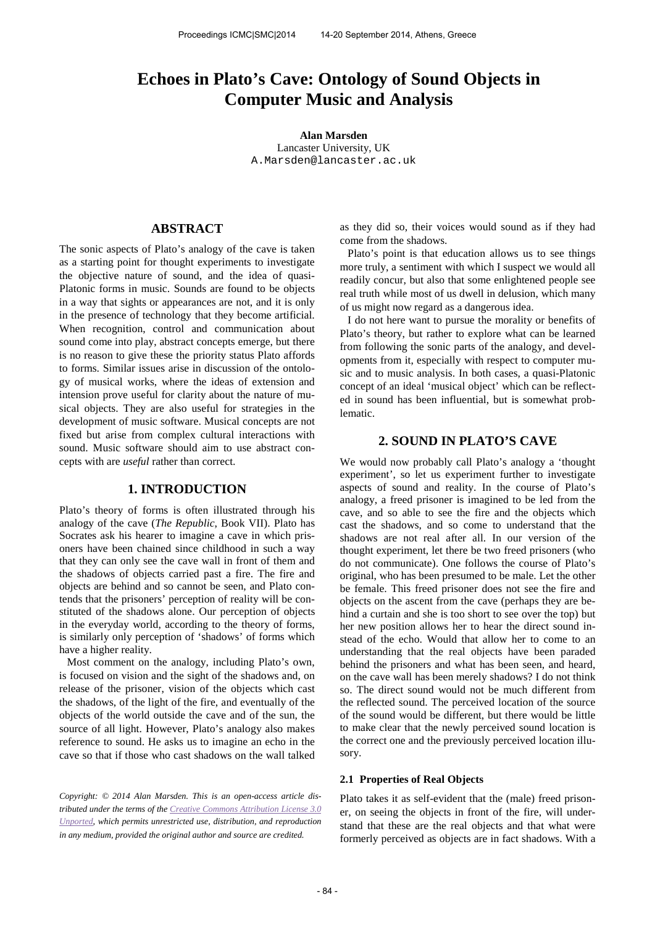# **Echoes in Plato's Cave: Ontology of Sound Objects in Computer Music and Analysis**

**Alan Marsden** Lancaster University, UK [A.Marsden@lancaster.ac.uk](mailto:A.Marsden@lancaster.ac.uk)

# **ABSTRACT**

The sonic aspects of Plato's analogy of the cave is taken as a starting point for thought experiments to investigate the objective nature of sound, and the idea of quasi-Platonic forms in music. Sounds are found to be objects in a way that sights or appearances are not, and it is only in the presence of technology that they become artificial. When recognition, control and communication about sound come into play, abstract concepts emerge, but there is no reason to give these the priority status Plato affords to forms. Similar issues arise in discussion of the ontology of musical works, where the ideas of extension and intension prove useful for clarity about the nature of musical objects. They are also useful for strategies in the development of music software. Musical concepts are not fixed but arise from complex cultural interactions with sound. Music software should aim to use abstract concepts with are *useful* rather than correct.

# **1. INTRODUCTION**

Plato's theory of forms is often illustrated through his analogy of the cave (*The Republic*, Book VII). Plato has Socrates ask his hearer to imagine a cave in which prisoners have been chained since childhood in such a way that they can only see the cave wall in front of them and the shadows of objects carried past a fire. The fire and objects are behind and so cannot be seen, and Plato contends that the prisoners' perception of reality will be constituted of the shadows alone. Our perception of objects in the everyday world, according to the theory of forms, is similarly only perception of 'shadows' of forms which have a higher reality.

Most comment on the analogy, including Plato's own, is focused on vision and the sight of the shadows and, on release of the prisoner, vision of the objects which cast the shadows, of the light of the fire, and eventually of the objects of the world outside the cave and of the sun, the source of all light. However, Plato's analogy also makes reference to sound. He asks us to imagine an echo in the cave so that if those who cast shadows on the wall talked

*Copyright: © 2014 Alan Marsden. This is an open-access article distributed under the terms of th[e Creative Commons Attribution License 3.0](http://creativecommons.org/licenses/by/3.0/)  [Unported,](http://creativecommons.org/licenses/by/3.0/) which permits unrestricted use, distribution, and reproduction in any medium, provided the original author and source are credited.*

as they did so, their voices would sound as if they had come from the shadows.

Plato's point is that education allows us to see things more truly, a sentiment with which I suspect we would all readily concur, but also that some enlightened people see real truth while most of us dwell in delusion, which many of us might now regard as a dangerous idea.

I do not here want to pursue the morality or benefits of Plato's theory, but rather to explore what can be learned from following the sonic parts of the analogy, and developments from it, especially with respect to computer music and to music analysis. In both cases, a quasi-Platonic concept of an ideal 'musical object' which can be reflected in sound has been influential, but is somewhat problematic.

# **2. SOUND IN PLATO'S CAVE**

We would now probably call Plato's analogy a 'thought experiment', so let us experiment further to investigate aspects of sound and reality. In the course of Plato's analogy, a freed prisoner is imagined to be led from the cave, and so able to see the fire and the objects which cast the shadows, and so come to understand that the shadows are not real after all. In our version of the thought experiment, let there be two freed prisoners (who do not communicate). One follows the course of Plato's original, who has been presumed to be male. Let the other be female. This freed prisoner does not see the fire and objects on the ascent from the cave (perhaps they are behind a curtain and she is too short to see over the top) but her new position allows her to hear the direct sound instead of the echo. Would that allow her to come to an understanding that the real objects have been paraded behind the prisoners and what has been seen, and heard, on the cave wall has been merely shadows? I do not think so. The direct sound would not be much different from the reflected sound. The perceived location of the source of the sound would be different, but there would be little to make clear that the newly perceived sound location is the correct one and the previously perceived location illusory.

#### **2.1 Properties of Real Objects**

Plato takes it as self-evident that the (male) freed prisoner, on seeing the objects in front of the fire, will understand that these are the real objects and that what were formerly perceived as objects are in fact shadows. With a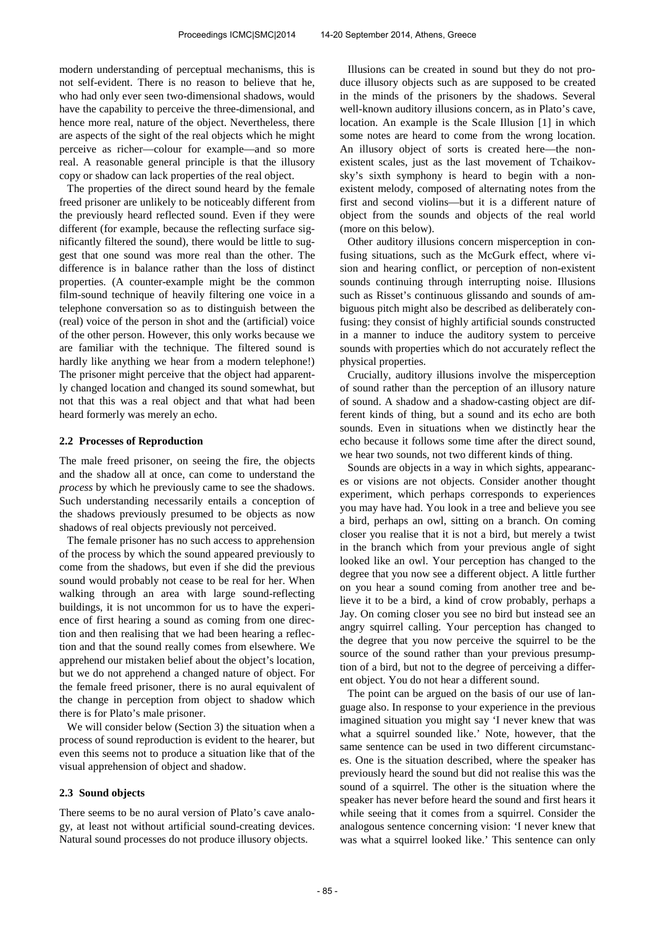modern understanding of perceptual mechanisms, this is not self-evident. There is no reason to believe that he, who had only ever seen two-dimensional shadows, would have the capability to perceive the three-dimensional, and hence more real, nature of the object. Nevertheless, there are aspects of the sight of the real objects which he might perceive as richer—colour for example—and so more real. A reasonable general principle is that the illusory copy or shadow can lack properties of the real object.

The properties of the direct sound heard by the female freed prisoner are unlikely to be noticeably different from the previously heard reflected sound. Even if they were different (for example, because the reflecting surface significantly filtered the sound), there would be little to suggest that one sound was more real than the other. The difference is in balance rather than the loss of distinct properties. (A counter-example might be the common film-sound technique of heavily filtering one voice in a telephone conversation so as to distinguish between the (real) voice of the person in shot and the (artificial) voice of the other person. However, this only works because we are familiar with the technique. The filtered sound is hardly like anything we hear from a modern telephone!) The prisoner might perceive that the object had apparently changed location and changed its sound somewhat, but not that this was a real object and that what had been heard formerly was merely an echo.

#### **2.2 Processes of Reproduction**

The male freed prisoner, on seeing the fire, the objects and the shadow all at once, can come to understand the *process* by which he previously came to see the shadows. Such understanding necessarily entails a conception of the shadows previously presumed to be objects as now shadows of real objects previously not perceived.

The female prisoner has no such access to apprehension of the process by which the sound appeared previously to come from the shadows, but even if she did the previous sound would probably not cease to be real for her. When walking through an area with large sound-reflecting buildings, it is not uncommon for us to have the experience of first hearing a sound as coming from one direction and then realising that we had been hearing a reflection and that the sound really comes from elsewhere. We apprehend our mistaken belief about the object's location, but we do not apprehend a changed nature of object. For the female freed prisoner, there is no aural equivalent of the change in perception from object to shadow which there is for Plato's male prisoner.

We will consider below (Section 3) the situation when a process of sound reproduction is evident to the hearer, but even this seems not to produce a situation like that of the visual apprehension of object and shadow.

### **2.3 Sound objects**

There seems to be no aural version of Plato's cave analogy, at least not without artificial sound-creating devices. Natural sound processes do not produce illusory objects.

Illusions can be created in sound but they do not produce illusory objects such as are supposed to be created in the minds of the prisoners by the shadows. Several well-known auditory illusions concern, as in Plato's cave, location. An example is the Scale Illusion [1] in which some notes are heard to come from the wrong location. An illusory object of sorts is created here—the nonexistent scales, just as the last movement of Tchaikovsky's sixth symphony is heard to begin with a nonexistent melody, composed of alternating notes from the first and second violins—but it is a different nature of object from the sounds and objects of the real world (more on this below).

Other auditory illusions concern misperception in confusing situations, such as the McGurk effect, where vision and hearing conflict, or perception of non-existent sounds continuing through interrupting noise. Illusions such as Risset's continuous glissando and sounds of ambiguous pitch might also be described as deliberately confusing: they consist of highly artificial sounds constructed in a manner to induce the auditory system to perceive sounds with properties which do not accurately reflect the physical properties.

Crucially, auditory illusions involve the misperception of sound rather than the perception of an illusory nature of sound. A shadow and a shadow-casting object are different kinds of thing, but a sound and its echo are both sounds. Even in situations when we distinctly hear the echo because it follows some time after the direct sound, we hear two sounds, not two different kinds of thing.

Sounds are objects in a way in which sights, appearances or visions are not objects. Consider another thought experiment, which perhaps corresponds to experiences you may have had. You look in a tree and believe you see a bird, perhaps an owl, sitting on a branch. On coming closer you realise that it is not a bird, but merely a twist in the branch which from your previous angle of sight looked like an owl. Your perception has changed to the degree that you now see a different object. A little further on you hear a sound coming from another tree and believe it to be a bird, a kind of crow probably, perhaps a Jay. On coming closer you see no bird but instead see an angry squirrel calling. Your perception has changed to the degree that you now perceive the squirrel to be the source of the sound rather than your previous presumption of a bird, but not to the degree of perceiving a different object. You do not hear a different sound.

The point can be argued on the basis of our use of language also. In response to your experience in the previous imagined situation you might say 'I never knew that was what a squirrel sounded like.' Note, however, that the same sentence can be used in two different circumstances. One is the situation described, where the speaker has previously heard the sound but did not realise this was the sound of a squirrel. The other is the situation where the speaker has never before heard the sound and first hears it while seeing that it comes from a squirrel. Consider the analogous sentence concerning vision: 'I never knew that was what a squirrel looked like.' This sentence can only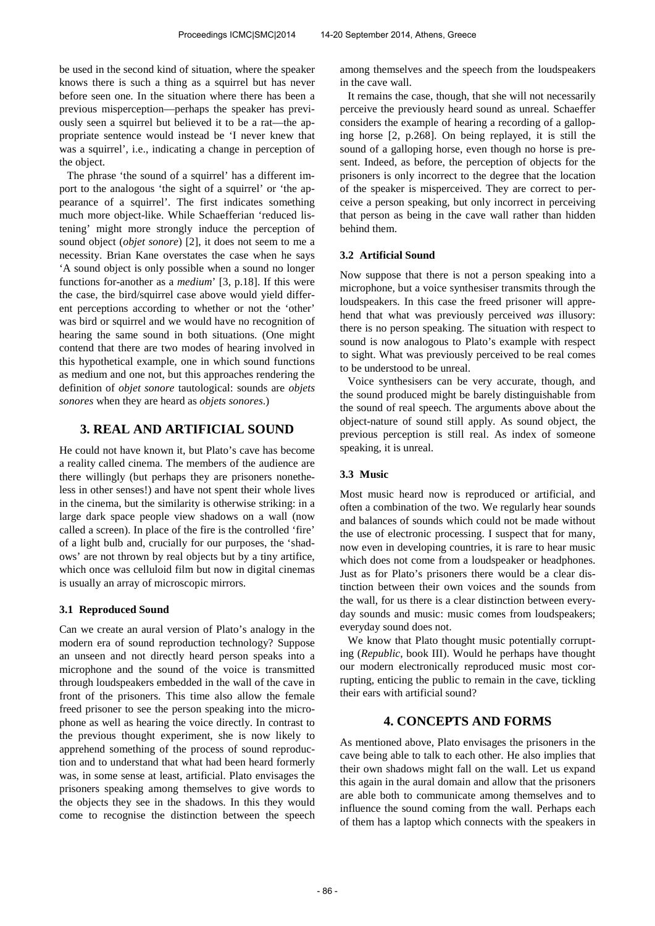be used in the second kind of situation, where the speaker knows there is such a thing as a squirrel but has never before seen one. In the situation where there has been a previous misperception—perhaps the speaker has previously seen a squirrel but believed it to be a rat—the appropriate sentence would instead be 'I never knew that was a squirrel', i.e., indicating a change in perception of the object.

The phrase 'the sound of a squirrel' has a different import to the analogous 'the sight of a squirrel' or 'the appearance of a squirrel'. The first indicates something much more object-like. While Schaefferian 'reduced listening' might more strongly induce the perception of sound object (*objet sonore*) [2], it does not seem to me a necessity. Brian Kane overstates the case when he says 'A sound object is only possible when a sound no longer functions for-another as a *medium*' [3, p.18]. If this were the case, the bird/squirrel case above would yield different perceptions according to whether or not the 'other' was bird or squirrel and we would have no recognition of hearing the same sound in both situations. (One might contend that there are two modes of hearing involved in this hypothetical example, one in which sound functions as medium and one not, but this approaches rendering the definition of *objet sonore* tautological: sounds are *objets sonores* when they are heard as *objets sonores*.)

# **3. REAL AND ARTIFICIAL SOUND**

He could not have known it, but Plato's cave has become a reality called cinema. The members of the audience are there willingly (but perhaps they are prisoners nonetheless in other senses!) and have not spent their whole lives in the cinema, but the similarity is otherwise striking: in a large dark space people view shadows on a wall (now called a screen). In place of the fire is the controlled 'fire' of a light bulb and, crucially for our purposes, the 'shadows' are not thrown by real objects but by a tiny artifice, which once was celluloid film but now in digital cinemas is usually an array of microscopic mirrors.

### **3.1 Reproduced Sound**

Can we create an aural version of Plato's analogy in the modern era of sound reproduction technology? Suppose an unseen and not directly heard person speaks into a microphone and the sound of the voice is transmitted through loudspeakers embedded in the wall of the cave in front of the prisoners. This time also allow the female freed prisoner to see the person speaking into the microphone as well as hearing the voice directly. In contrast to the previous thought experiment, she is now likely to apprehend something of the process of sound reproduction and to understand that what had been heard formerly was, in some sense at least, artificial. Plato envisages the prisoners speaking among themselves to give words to the objects they see in the shadows. In this they would come to recognise the distinction between the speech

among themselves and the speech from the loudspeakers in the cave wall.

It remains the case, though, that she will not necessarily perceive the previously heard sound as unreal. Schaeffer considers the example of hearing a recording of a galloping horse [2, p.268]. On being replayed, it is still the sound of a galloping horse, even though no horse is present. Indeed, as before, the perception of objects for the prisoners is only incorrect to the degree that the location of the speaker is misperceived. They are correct to perceive a person speaking, but only incorrect in perceiving that person as being in the cave wall rather than hidden behind them.

### **3.2 Artificial Sound**

Now suppose that there is not a person speaking into a microphone, but a voice synthesiser transmits through the loudspeakers. In this case the freed prisoner will apprehend that what was previously perceived *was* illusory: there is no person speaking. The situation with respect to sound is now analogous to Plato's example with respect to sight. What was previously perceived to be real comes to be understood to be unreal.

Voice synthesisers can be very accurate, though, and the sound produced might be barely distinguishable from the sound of real speech. The arguments above about the object-nature of sound still apply. As sound object, the previous perception is still real. As index of someone speaking, it is unreal.

# **3.3 Music**

Most music heard now is reproduced or artificial, and often a combination of the two. We regularly hear sounds and balances of sounds which could not be made without the use of electronic processing. I suspect that for many, now even in developing countries, it is rare to hear music which does not come from a loudspeaker or headphones. Just as for Plato's prisoners there would be a clear distinction between their own voices and the sounds from the wall, for us there is a clear distinction between everyday sounds and music: music comes from loudspeakers; everyday sound does not.

We know that Plato thought music potentially corrupting (*Republic*, book III). Would he perhaps have thought our modern electronically reproduced music most corrupting, enticing the public to remain in the cave, tickling their ears with artificial sound?

# **4. CONCEPTS AND FORMS**

As mentioned above, Plato envisages the prisoners in the cave being able to talk to each other. He also implies that their own shadows might fall on the wall. Let us expand this again in the aural domain and allow that the prisoners are able both to communicate among themselves and to influence the sound coming from the wall. Perhaps each of them has a laptop which connects with the speakers in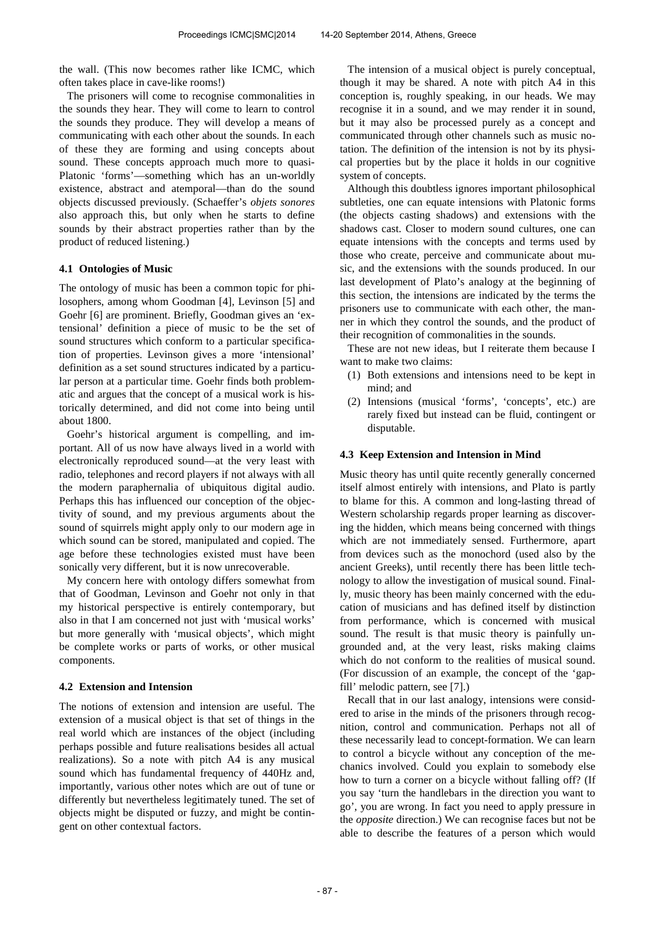the wall. (This now becomes rather like ICMC, which often takes place in cave-like rooms!)

The prisoners will come to recognise commonalities in the sounds they hear. They will come to learn to control the sounds they produce. They will develop a means of communicating with each other about the sounds. In each of these they are forming and using concepts about sound. These concepts approach much more to quasi-Platonic 'forms'—something which has an un-worldly existence, abstract and atemporal—than do the sound objects discussed previously. (Schaeffer's *objets sonores* also approach this, but only when he starts to define sounds by their abstract properties rather than by the product of reduced listening.)

### **4.1 Ontologies of Music**

The ontology of music has been a common topic for philosophers, among whom Goodman [4], Levinson [5] and Goehr [6] are prominent. Briefly, Goodman gives an 'extensional' definition a piece of music to be the set of sound structures which conform to a particular specification of properties. Levinson gives a more 'intensional' definition as a set sound structures indicated by a particular person at a particular time. Goehr finds both problematic and argues that the concept of a musical work is historically determined, and did not come into being until about 1800.

Goehr's historical argument is compelling, and important. All of us now have always lived in a world with electronically reproduced sound—at the very least with radio, telephones and record players if not always with all the modern paraphernalia of ubiquitous digital audio. Perhaps this has influenced our conception of the objectivity of sound, and my previous arguments about the sound of squirrels might apply only to our modern age in which sound can be stored, manipulated and copied. The age before these technologies existed must have been sonically very different, but it is now unrecoverable.

My concern here with ontology differs somewhat from that of Goodman, Levinson and Goehr not only in that my historical perspective is entirely contemporary, but also in that I am concerned not just with 'musical works' but more generally with 'musical objects', which might be complete works or parts of works, or other musical components.

### **4.2 Extension and Intension**

The notions of extension and intension are useful. The extension of a musical object is that set of things in the real world which are instances of the object (including perhaps possible and future realisations besides all actual realizations). So a note with pitch A4 is any musical sound which has fundamental frequency of 440Hz and, importantly, various other notes which are out of tune or differently but nevertheless legitimately tuned. The set of objects might be disputed or fuzzy, and might be contingent on other contextual factors.

The intension of a musical object is purely conceptual, though it may be shared. A note with pitch A4 in this conception is, roughly speaking, in our heads. We may recognise it in a sound, and we may render it in sound, but it may also be processed purely as a concept and communicated through other channels such as music notation. The definition of the intension is not by its physical properties but by the place it holds in our cognitive system of concepts.

Although this doubtless ignores important philosophical subtleties, one can equate intensions with Platonic forms (the objects casting shadows) and extensions with the shadows cast. Closer to modern sound cultures, one can equate intensions with the concepts and terms used by those who create, perceive and communicate about music, and the extensions with the sounds produced. In our last development of Plato's analogy at the beginning of this section, the intensions are indicated by the terms the prisoners use to communicate with each other, the manner in which they control the sounds, and the product of their recognition of commonalities in the sounds.

These are not new ideas, but I reiterate them because I want to make two claims:

- (1) Both extensions and intensions need to be kept in mind; and
- (2) Intensions (musical 'forms', 'concepts', etc.) are rarely fixed but instead can be fluid, contingent or disputable.

### **4.3 Keep Extension and Intension in Mind**

Music theory has until quite recently generally concerned itself almost entirely with intensions, and Plato is partly to blame for this. A common and long-lasting thread of Western scholarship regards proper learning as discovering the hidden, which means being concerned with things which are not immediately sensed. Furthermore, apart from devices such as the monochord (used also by the ancient Greeks), until recently there has been little technology to allow the investigation of musical sound. Finally, music theory has been mainly concerned with the education of musicians and has defined itself by distinction from performance, which is concerned with musical sound. The result is that music theory is painfully ungrounded and, at the very least, risks making claims which do not conform to the realities of musical sound. (For discussion of an example, the concept of the 'gapfill' melodic pattern, see [7].)

Recall that in our last analogy, intensions were considered to arise in the minds of the prisoners through recognition, control and communication. Perhaps not all of these necessarily lead to concept-formation. We can learn to control a bicycle without any conception of the mechanics involved. Could you explain to somebody else how to turn a corner on a bicycle without falling off? (If you say 'turn the handlebars in the direction you want to go', you are wrong. In fact you need to apply pressure in the *opposite* direction.) We can recognise faces but not be able to describe the features of a person which would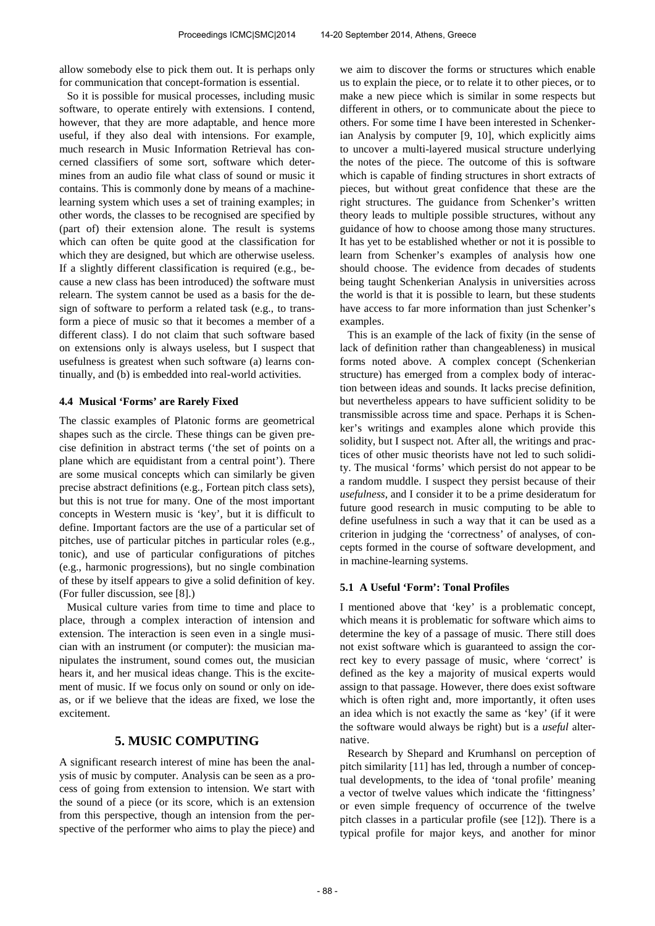allow somebody else to pick them out. It is perhaps only for communication that concept-formation is essential.

So it is possible for musical processes, including music software, to operate entirely with extensions. I contend, however, that they are more adaptable, and hence more useful, if they also deal with intensions. For example, much research in Music Information Retrieval has concerned classifiers of some sort, software which determines from an audio file what class of sound or music it contains. This is commonly done by means of a machinelearning system which uses a set of training examples; in other words, the classes to be recognised are specified by (part of) their extension alone. The result is systems which can often be quite good at the classification for which they are designed, but which are otherwise useless. If a slightly different classification is required (e.g., because a new class has been introduced) the software must relearn. The system cannot be used as a basis for the design of software to perform a related task (e.g., to transform a piece of music so that it becomes a member of a different class). I do not claim that such software based on extensions only is always useless, but I suspect that usefulness is greatest when such software (a) learns continually, and (b) is embedded into real-world activities.

### **4.4 Musical 'Forms' are Rarely Fixed**

The classic examples of Platonic forms are geometrical shapes such as the circle. These things can be given precise definition in abstract terms ('the set of points on a plane which are equidistant from a central point'). There are some musical concepts which can similarly be given precise abstract definitions (e.g., Fortean pitch class sets), but this is not true for many. One of the most important concepts in Western music is 'key', but it is difficult to define. Important factors are the use of a particular set of pitches, use of particular pitches in particular roles (e.g., tonic), and use of particular configurations of pitches (e.g., harmonic progressions), but no single combination of these by itself appears to give a solid definition of key. (For fuller discussion, see [8].)

Musical culture varies from time to time and place to place, through a complex interaction of intension and extension. The interaction is seen even in a single musician with an instrument (or computer): the musician manipulates the instrument, sound comes out, the musician hears it, and her musical ideas change. This is the excitement of music. If we focus only on sound or only on ideas, or if we believe that the ideas are fixed, we lose the excitement.

# **5. MUSIC COMPUTING**

A significant research interest of mine has been the analysis of music by computer. Analysis can be seen as a process of going from extension to intension. We start with the sound of a piece (or its score, which is an extension from this perspective, though an intension from the perspective of the performer who aims to play the piece) and we aim to discover the forms or structures which enable us to explain the piece, or to relate it to other pieces, or to make a new piece which is similar in some respects but different in others, or to communicate about the piece to others. For some time I have been interested in Schenkerian Analysis by computer [9, 10], which explicitly aims to uncover a multi-layered musical structure underlying the notes of the piece. The outcome of this is software which is capable of finding structures in short extracts of pieces, but without great confidence that these are the right structures. The guidance from Schenker's written theory leads to multiple possible structures, without any guidance of how to choose among those many structures. It has yet to be established whether or not it is possible to learn from Schenker's examples of analysis how one should choose. The evidence from decades of students being taught Schenkerian Analysis in universities across the world is that it is possible to learn, but these students have access to far more information than just Schenker's examples.

This is an example of the lack of fixity (in the sense of lack of definition rather than changeableness) in musical forms noted above. A complex concept (Schenkerian structure) has emerged from a complex body of interaction between ideas and sounds. It lacks precise definition, but nevertheless appears to have sufficient solidity to be transmissible across time and space. Perhaps it is Schenker's writings and examples alone which provide this solidity, but I suspect not. After all, the writings and practices of other music theorists have not led to such solidity. The musical 'forms' which persist do not appear to be a random muddle. I suspect they persist because of their *usefulness*, and I consider it to be a prime desideratum for future good research in music computing to be able to define usefulness in such a way that it can be used as a criterion in judging the 'correctness' of analyses, of concepts formed in the course of software development, and in machine-learning systems.

### **5.1 A Useful 'Form': Tonal Profiles**

I mentioned above that 'key' is a problematic concept, which means it is problematic for software which aims to determine the key of a passage of music. There still does not exist software which is guaranteed to assign the correct key to every passage of music, where 'correct' is defined as the key a majority of musical experts would assign to that passage. However, there does exist software which is often right and, more importantly, it often uses an idea which is not exactly the same as 'key' (if it were the software would always be right) but is a *useful* alternative.

Research by Shepard and Krumhansl on perception of pitch similarity [11] has led, through a number of conceptual developments, to the idea of 'tonal profile' meaning a vector of twelve values which indicate the 'fittingness' or even simple frequency of occurrence of the twelve pitch classes in a particular profile (see [12]). There is a typical profile for major keys, and another for minor